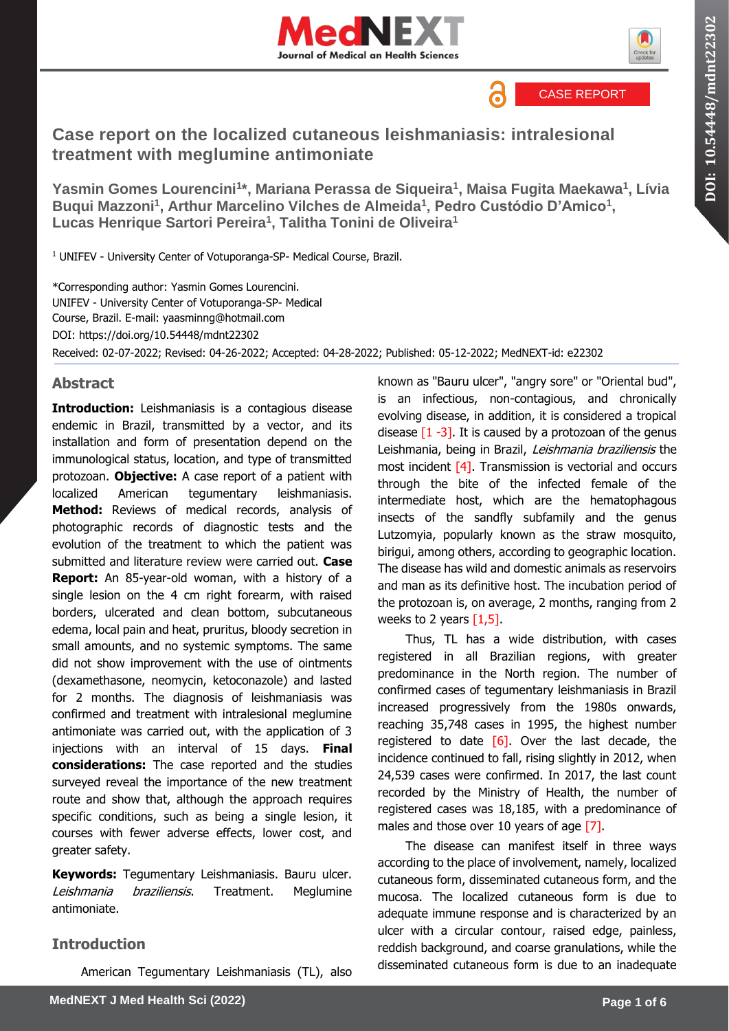



CASE REPORT

6

# **Case report on the localized cutaneous leishmaniasis: intralesional treatment with meglumine antimoniate**

**Yasmin Gomes Lourencini<sup>1</sup> \*, Mariana Perassa de Siqueira<sup>1</sup> , Maisa Fugita Maekawa<sup>1</sup> , Lívia**  Buqui Mazzoni<sup>1</sup>, Arthur Marcelino Vilches de Almeida<sup>1</sup>, Pedro Custódio D'Amico<sup>1</sup>, **Lucas Henrique Sartori Pereira<sup>1</sup> , Talitha Tonini de Oliveira<sup>1</sup>**

<sup>1</sup> UNIFEV - University Center of Votuporanga-SP- Medical Course, Brazil.

\*Corresponding author: Yasmin Gomes Lourencini. UNIFEV - University Center of Votuporanga-SP- Medical Course, Brazil. E-mail: yaasminng@hotmail.com DOI:<https://doi.org/10.54448/mdnt22302> Received: 02-07-2022; Revised: 04-26-2022; Accepted: 04-28-2022; Published: 05-12-2022; MedNEXT-id: e22302

# **Abstract**

**Introduction:** Leishmaniasis is a contagious disease endemic in Brazil, transmitted by a vector, and its installation and form of presentation depend on the immunological status, location, and type of transmitted protozoan. **Objective:** A case report of a patient with localized American tegumentary leishmaniasis. **Method:** Reviews of medical records, analysis of photographic records of diagnostic tests and the evolution of the treatment to which the patient was submitted and literature review were carried out. **Case Report:** An 85-year-old woman, with a history of a single lesion on the 4 cm right forearm, with raised borders, ulcerated and clean bottom, subcutaneous edema, local pain and heat, pruritus, bloody secretion in small amounts, and no systemic symptoms. The same did not show improvement with the use of ointments (dexamethasone, neomycin, ketoconazole) and lasted for 2 months. The diagnosis of leishmaniasis was confirmed and treatment with intralesional meglumine antimoniate was carried out, with the application of 3 injections with an interval of 15 days. **Final considerations:** The case reported and the studies surveyed reveal the importance of the new treatment route and show that, although the approach requires specific conditions, such as being a single lesion, it courses with fewer adverse effects, lower cost, and greater safety.

**Keywords:** Tegumentary Leishmaniasis. Bauru ulcer. Leishmania braziliensis. Treatment. Meglumine antimoniate.

# **Introduction**

American Tegumentary Leishmaniasis (TL), also

known as "Bauru ulcer", "angry sore" or "Oriental bud", is an infectious, non-contagious, and chronically evolving disease, in addition, it is considered a tropical disease  $\lceil 1 -3 \rceil$ . It is caused by a protozoan of the genus Leishmania, being in Brazil, Leishmania braziliensis the most incident [4]. Transmission is vectorial and occurs through the bite of the infected female of the intermediate host, which are the hematophagous insects of the sandfly subfamily and the genus Lutzomyia, popularly known as the straw mosquito, birigui, among others, according to geographic location. The disease has wild and domestic animals as reservoirs and man as its definitive host. The incubation period of the protozoan is, on average, 2 months, ranging from 2 weeks to 2 years  $[1,5]$ .

Thus, TL has a wide distribution, with cases registered in all Brazilian regions, with greater predominance in the North region. The number of confirmed cases of tegumentary leishmaniasis in Brazil increased progressively from the 1980s onwards, reaching 35,748 cases in 1995, the highest number registered to date  $[6]$ . Over the last decade, the incidence continued to fall, rising slightly in 2012, when 24,539 cases were confirmed. In 2017, the last count recorded by the Ministry of Health, the number of registered cases was 18,185, with a predominance of males and those over 10 years of age [7].

The disease can manifest itself in three ways according to the place of involvement, namely, localized cutaneous form, disseminated cutaneous form, and the mucosa. The localized cutaneous form is due to adequate immune response and is characterized by an ulcer with a circular contour, raised edge, painless, reddish background, and coarse granulations, while the disseminated cutaneous form is due to an inadequate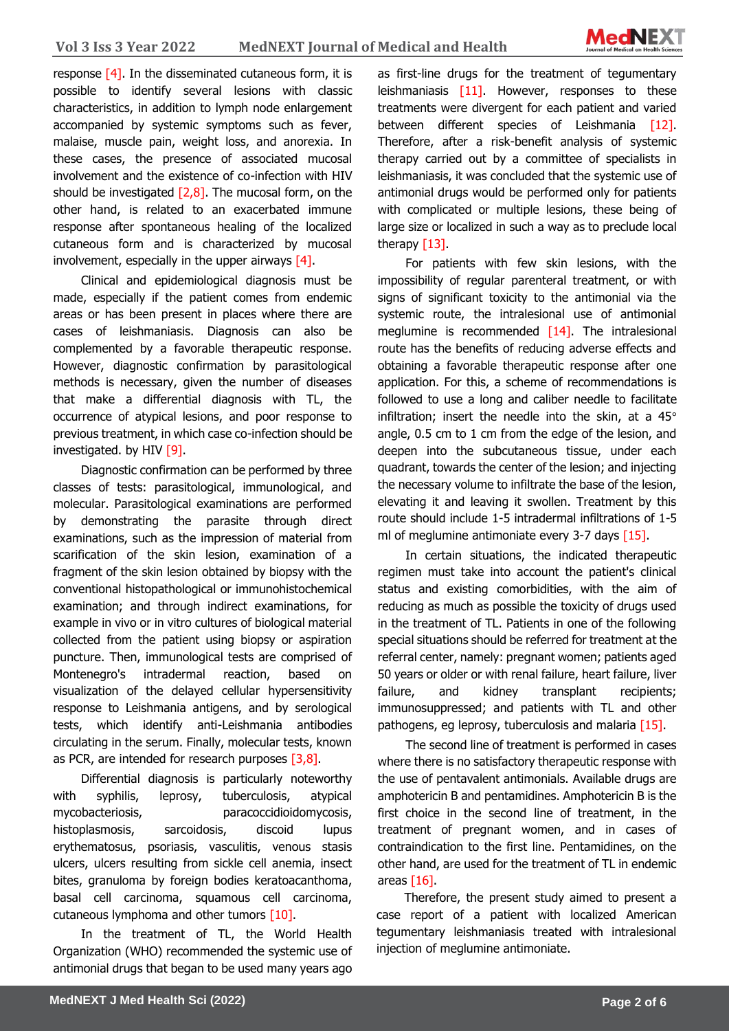

response [4]. In the disseminated cutaneous form, it is possible to identify several lesions with classic characteristics, in addition to lymph node enlargement accompanied by systemic symptoms such as fever, malaise, muscle pain, weight loss, and anorexia. In these cases, the presence of associated mucosal involvement and the existence of co-infection with HIV should be investigated  $[2,8]$ . The mucosal form, on the other hand, is related to an exacerbated immune response after spontaneous healing of the localized cutaneous form and is characterized by mucosal involvement, especially in the upper airways  $[4]$ .

Clinical and epidemiological diagnosis must be made, especially if the patient comes from endemic areas or has been present in places where there are cases of leishmaniasis. Diagnosis can also be complemented by a favorable therapeutic response. However, diagnostic confirmation by parasitological methods is necessary, given the number of diseases that make a differential diagnosis with TL, the occurrence of atypical lesions, and poor response to previous treatment, in which case co-infection should be investigated. by HIV [9].

Diagnostic confirmation can be performed by three classes of tests: parasitological, immunological, and molecular. Parasitological examinations are performed by demonstrating the parasite through direct examinations, such as the impression of material from scarification of the skin lesion, examination of a fragment of the skin lesion obtained by biopsy with the conventional histopathological or immunohistochemical examination; and through indirect examinations, for example in vivo or in vitro cultures of biological material collected from the patient using biopsy or aspiration puncture. Then, immunological tests are comprised of Montenegro's intradermal reaction, based on visualization of the delayed cellular hypersensitivity response to Leishmania antigens, and by serological tests, which identify anti-Leishmania antibodies circulating in the serum. Finally, molecular tests, known as PCR, are intended for research purposes  $\lceil 3, 8 \rceil$ .

Differential diagnosis is particularly noteworthy with syphilis, leprosy, tuberculosis, atypical mycobacteriosis, paracoccidioidomycosis, histoplasmosis, sarcoidosis, discoid lupus erythematosus, psoriasis, vasculitis, venous stasis ulcers, ulcers resulting from sickle cell anemia, insect bites, granuloma by foreign bodies keratoacanthoma, basal cell carcinoma, squamous cell carcinoma, cutaneous lymphoma and other tumors [10].

In the treatment of TL, the World Health Organization (WHO) recommended the systemic use of antimonial drugs that began to be used many years ago as first-line drugs for the treatment of tegumentary leishmaniasis [11]. However, responses to these treatments were divergent for each patient and varied between different species of Leishmania [12]. Therefore, after a risk-benefit analysis of systemic therapy carried out by a committee of specialists in leishmaniasis, it was concluded that the systemic use of antimonial drugs would be performed only for patients with complicated or multiple lesions, these being of large size or localized in such a way as to preclude local therapy [13].

For patients with few skin lesions, with the impossibility of regular parenteral treatment, or with signs of significant toxicity to the antimonial via the systemic route, the intralesional use of antimonial meglumine is recommended [14]. The intralesional route has the benefits of reducing adverse effects and obtaining a favorable therapeutic response after one application. For this, a scheme of recommendations is followed to use a long and caliber needle to facilitate infiltration; insert the needle into the skin, at a 45° angle, 0.5 cm to 1 cm from the edge of the lesion, and deepen into the subcutaneous tissue, under each quadrant, towards the center of the lesion; and injecting the necessary volume to infiltrate the base of the lesion, elevating it and leaving it swollen. Treatment by this route should include 1-5 intradermal infiltrations of 1-5 ml of meglumine antimoniate every 3-7 days  $[15]$ .

In certain situations, the indicated therapeutic regimen must take into account the patient's clinical status and existing comorbidities, with the aim of reducing as much as possible the toxicity of drugs used in the treatment of TL. Patients in one of the following special situations should be referred for treatment at the referral center, namely: pregnant women; patients aged 50 years or older or with renal failure, heart failure, liver failure, and kidney transplant recipients; immunosuppressed; and patients with TL and other pathogens, eg leprosy, tuberculosis and malaria [15].

The second line of treatment is performed in cases where there is no satisfactory therapeutic response with the use of pentavalent antimonials. Available drugs are amphotericin B and pentamidines. Amphotericin B is the first choice in the second line of treatment, in the treatment of pregnant women, and in cases of contraindication to the first line. Pentamidines, on the other hand, are used for the treatment of TL in endemic areas [16].

Therefore, the present study aimed to present a case report of a patient with localized American tegumentary leishmaniasis treated with intralesional injection of meglumine antimoniate.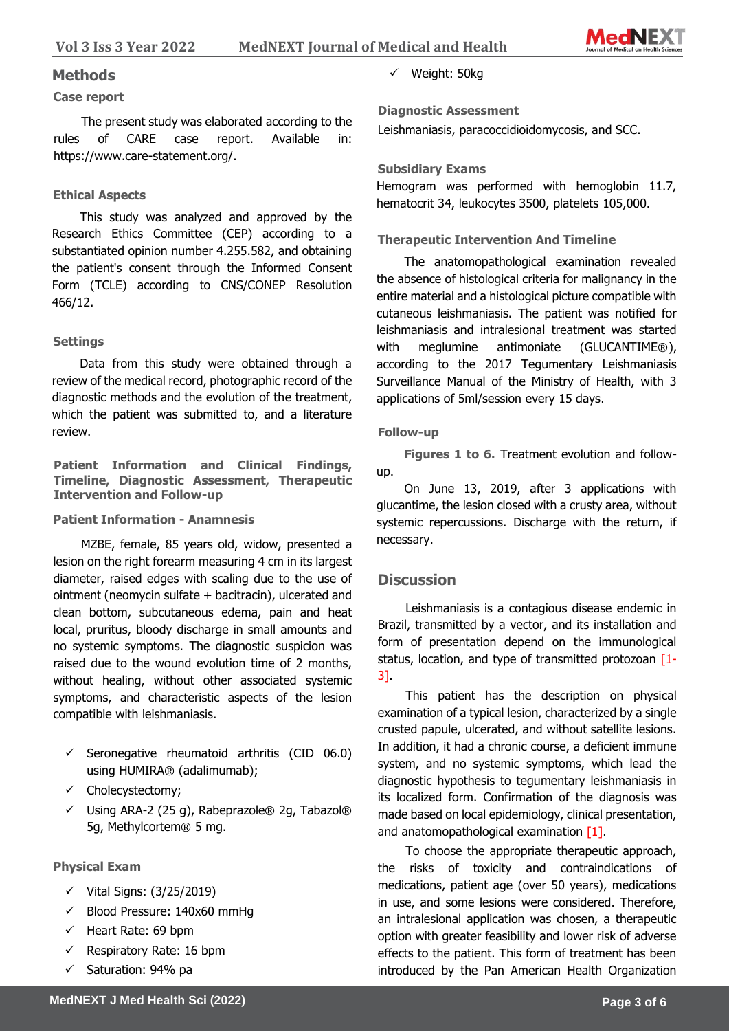

### **Methods**

#### **Case report**

The present study was elaborated according to the rules of CARE case report. Available in: https://www.care-statement.org/.

### **Ethical Aspects**

This study was analyzed and approved by the Research Ethics Committee (CEP) according to a substantiated opinion number 4.255.582, and obtaining the patient's consent through the Informed Consent Form (TCLE) according to CNS/CONEP Resolution 466/12.

#### **Settings**

Data from this study were obtained through a review of the medical record, photographic record of the diagnostic methods and the evolution of the treatment, which the patient was submitted to, and a literature review.

**Patient Information and Clinical Findings, Timeline, Diagnostic Assessment, Therapeutic Intervention and Follow-up**

#### **Patient Information - Anamnesis**

MZBE, female, 85 years old, widow, presented a lesion on the right forearm measuring 4 cm in its largest diameter, raised edges with scaling due to the use of ointment (neomycin sulfate + bacitracin), ulcerated and clean bottom, subcutaneous edema, pain and heat local, pruritus, bloody discharge in small amounts and no systemic symptoms. The diagnostic suspicion was raised due to the wound evolution time of 2 months, without healing, without other associated systemic symptoms, and characteristic aspects of the lesion compatible with leishmaniasis.

- $\checkmark$  Seronegative rheumatoid arthritis (CID 06.0) using HUMIRA® (adalimumab);
- ✓ Cholecystectomy;
- $\checkmark$  Using ARA-2 (25 g), Rabeprazole® 2g, Tabazol® 5g, Methylcortem® 5 mg.

### **Physical Exam**

- $\checkmark$  Vital Signs: (3/25/2019)
- ✓ Blood Pressure: 140x60 mmHg
- ✓ Heart Rate: 69 bpm
- $\checkmark$  Respiratory Rate: 16 bpm
- ✓ Saturation: 94% pa

✓ Weight: 50kg

**Diagnostic Assessment** 

Leishmaniasis, paracoccidioidomycosis, and SCC.

#### **Subsidiary Exams**

Hemogram was performed with hemoglobin 11.7, hematocrit 34, leukocytes 3500, platelets 105,000.

#### **Therapeutic Intervention And Timeline**

The anatomopathological examination revealed the absence of histological criteria for malignancy in the entire material and a histological picture compatible with cutaneous leishmaniasis. The patient was notified for leishmaniasis and intralesional treatment was started with meglumine antimoniate (GLUCANTIME®), according to the 2017 Tegumentary Leishmaniasis Surveillance Manual of the Ministry of Health, with 3 applications of 5ml/session every 15 days.

#### **Follow-up**

**Figures 1 to 6.** Treatment evolution and followup.

On June 13, 2019, after 3 applications with glucantime, the lesion closed with a crusty area, without systemic repercussions. Discharge with the return, if necessary.

### **Discussion**

Leishmaniasis is a contagious disease endemic in Brazil, transmitted by a vector, and its installation and form of presentation depend on the immunological status, location, and type of transmitted protozoan [1- 3].

This patient has the description on physical examination of a typical lesion, characterized by a single crusted papule, ulcerated, and without satellite lesions. In addition, it had a chronic course, a deficient immune system, and no systemic symptoms, which lead the diagnostic hypothesis to tegumentary leishmaniasis in its localized form. Confirmation of the diagnosis was made based on local epidemiology, clinical presentation, and anatomopathological examination [1].

To choose the appropriate therapeutic approach, the risks of toxicity and contraindications of medications, patient age (over 50 years), medications in use, and some lesions were considered. Therefore, an intralesional application was chosen, a therapeutic option with greater feasibility and lower risk of adverse effects to the patient. This form of treatment has been introduced by the Pan American Health Organization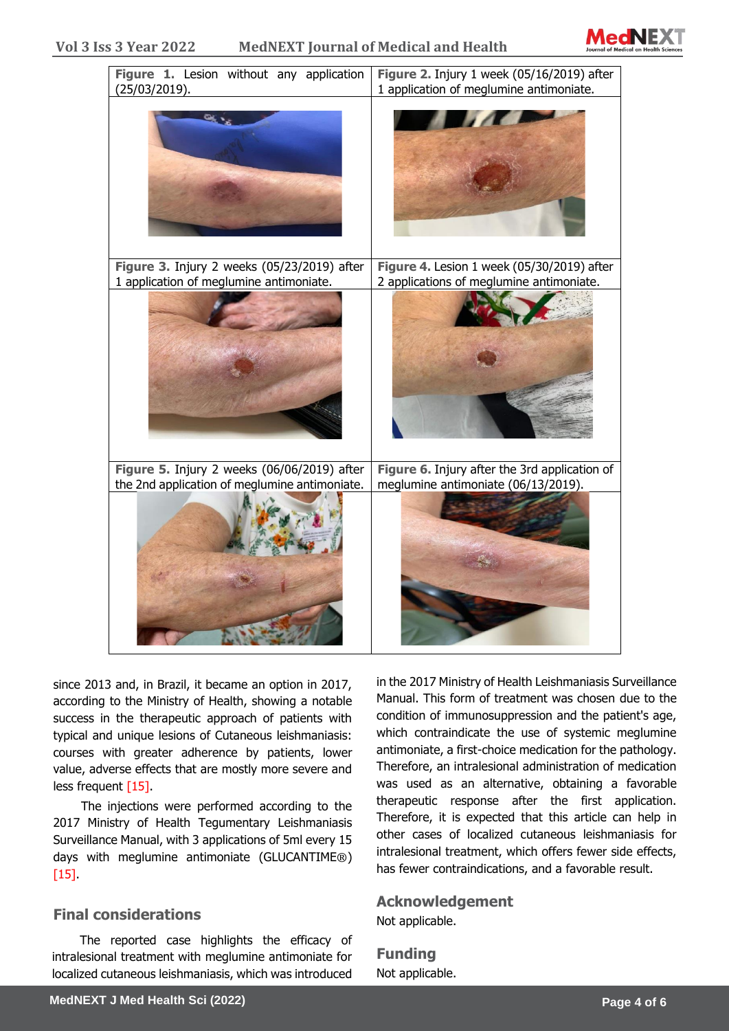



since 2013 and, in Brazil, it became an option in 2017, according to the Ministry of Health, showing a notable success in the therapeutic approach of patients with typical and unique lesions of Cutaneous leishmaniasis: courses with greater adherence by patients, lower value, adverse effects that are mostly more severe and less frequent [15].

The injections were performed according to the 2017 Ministry of Health Tegumentary Leishmaniasis Surveillance Manual, with 3 applications of 5ml every 15 days with meglumine antimoniate (GLUCANTIME®) [15].

# **Final considerations**

The reported case highlights the efficacy of intralesional treatment with meglumine antimoniate for localized cutaneous leishmaniasis, which was introduced

in the 2017 Ministry of Health Leishmaniasis Surveillance Manual. This form of treatment was chosen due to the condition of immunosuppression and the patient's age, which contraindicate the use of systemic meglumine antimoniate, a first-choice medication for the pathology. Therefore, an intralesional administration of medication was used as an alternative, obtaining a favorable therapeutic response after the first application. Therefore, it is expected that this article can help in other cases of localized cutaneous leishmaniasis for intralesional treatment, which offers fewer side effects, has fewer contraindications, and a favorable result.

#### **Acknowledgement**

Not applicable.

**Funding** Not applicable.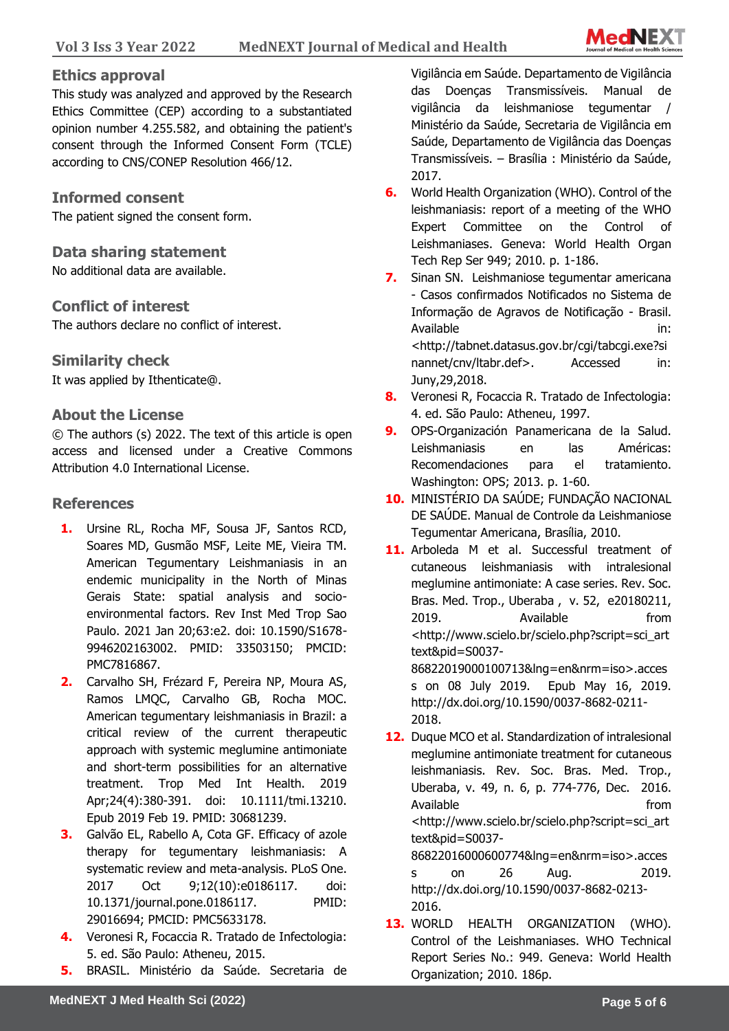

# **Ethics approval**

This study was analyzed and approved by the Research Ethics Committee (CEP) according to a substantiated opinion number 4.255.582, and obtaining the patient's consent through the Informed Consent Form (TCLE) according to CNS/CONEP Resolution 466/12.

# **Informed consent**

The patient signed the consent form.

# **Data sharing statement**

No additional data are available.

### **Conflict of interest**

The authors declare no conflict of interest.

### **Similarity check**

It was applied by Ithenticate@.

### **About the License**

© The authors (s) 2022. The text of this article is open access and licensed under a Creative Commons Attribution 4.0 International License.

# **References**

- **1.** Ursine RL, Rocha MF, Sousa JF, Santos RCD, Soares MD, Gusmão MSF, Leite ME, Vieira TM. American Tegumentary Leishmaniasis in an endemic municipality in the North of Minas Gerais State: spatial analysis and socioenvironmental factors. Rev Inst Med Trop Sao Paulo. 2021 Jan 20;63:e2. doi: 10.1590/S1678- 9946202163002. PMID: 33503150; PMCID: PMC7816867.
- **2.** Carvalho SH, Frézard F, Pereira NP, Moura AS, Ramos LMQC, Carvalho GB, Rocha MOC. American tegumentary leishmaniasis in Brazil: a critical review of the current therapeutic approach with systemic meglumine antimoniate and short-term possibilities for an alternative treatment. Trop Med Int Health. 2019 Apr;24(4):380-391. doi: 10.1111/tmi.13210. Epub 2019 Feb 19. PMID: 30681239.
- **3.** Galvão EL, Rabello A, Cota GF. Efficacy of azole therapy for tegumentary leishmaniasis: A systematic review and meta-analysis. PLoS One. 2017 Oct 9;12(10):e0186117. doi: 10.1371/journal.pone.0186117. PMID: 29016694; PMCID: PMC5633178.
- **4.** Veronesi R, Focaccia R. Tratado de Infectologia: 5. ed. São Paulo: Atheneu, 2015.
- **5.** BRASIL. Ministério da Saúde. Secretaria de

Vigilância em Saúde. Departamento de Vigilância das Doenças Transmissíveis. Manual de vigilância da leishmaniose tegumentar / Ministério da Saúde, Secretaria de Vigilância em Saúde, Departamento de Vigilância das Doenças Transmissíveis. – Brasília : Ministério da Saúde, 2017.

- **6.** World Health Organization (WHO). Control of the leishmaniasis: report of a meeting of the WHO Expert Committee on the Control of Leishmaniases. Geneva: World Health Organ Tech Rep Ser 949; 2010. p. 1-186.
- **7.** Sinan SN. Leishmaniose tegumentar americana - Casos confirmados Notificados no Sistema de Informação de Agravos de Notificação - Brasil. Available in: in: <http://tabnet.datasus.gov.br/cgi/tabcgi.exe?si nannet/cnv/ltabr.def>. Accessed in: Juny,29,2018.
- **8.** Veronesi R, Focaccia R. Tratado de Infectologia: 4. ed. São Paulo: Atheneu, 1997.
- **9.** OPS-Organización Panamericana de la Salud. Leishmaniasis en las Américas: Recomendaciones para el tratamiento. Washington: OPS; 2013. p. 1-60.
- **10.** MINISTÉRIO DA SAÚDE; FUNDAÇÃO NACIONAL DE SAÚDE. Manual de Controle da Leishmaniose Tegumentar Americana, Brasília, 2010.
- 11. Arboleda M et al. Successful treatment of cutaneous leishmaniasis with intralesional meglumine antimoniate: A case series. Rev. Soc. Bras. Med. Trop., Uberaba , v. 52, e20180211, 2019. Available from <http://www.scielo.br/scielo.php?script=sci\_art text&pid=S0037- 86822019000100713&lng=en&nrm=iso>.acces s on 08 July 2019. Epub May 16, 2019.

http://dx.doi.org/10.1590/0037-8682-0211- 2018.

**12.** Duque MCO et al. Standardization of intralesional meglumine antimoniate treatment for cutaneous leishmaniasis. Rev. Soc. Bras. Med. Trop., Uberaba, v. 49, n. 6, p. 774-776, Dec. 2016. Available **from** <http://www.scielo.br/scielo.php?script=sci\_art text&pid=S0037- 86822016000600774&lng=en&nrm=iso>.acces

s on 26 Aug. 2019. http://dx.doi.org/10.1590/0037-8682-0213- 2016.

**13.** WORLD HEALTH ORGANIZATION (WHO). Control of the Leishmaniases. WHO Technical Report Series No.: 949. Geneva: World Health Organization; 2010. 186p.